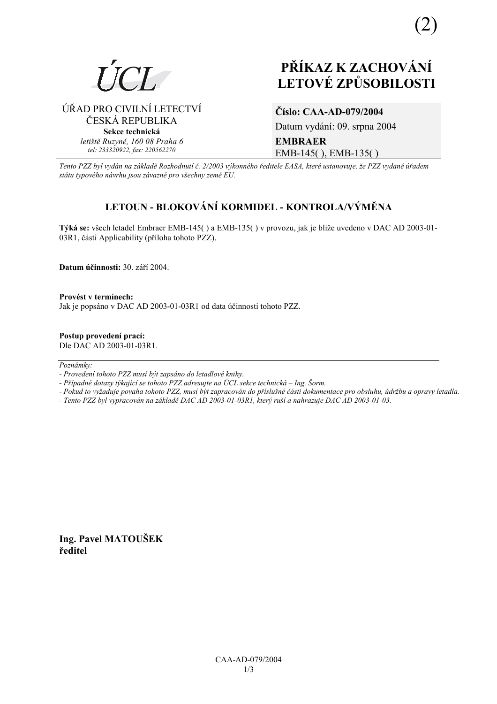

# **PŘÍKAZ K ZACHOVÁNÍ LETOV… ZPŮSOBILOSTI**

ÚŘAD PRO CIVILNÍ LETECTVÍ ČESKÁ REPUBLIKA **Sekce technická** *letiötě Ruzyně, 160 08 Praha 6 tel: 233320922, fax: 220562270*

# **ČÌslo: CAA-AD-079/2004**

Datum vydání: 09. srpna 2004 **EMBRAER**  EMB-145( ), EMB-135( )

*Tento PZZ byl vyd·n na z·kladě RozhodnutÌ č. 2/2003 v˝konnÈho ředitele EASA, kterÈ ustanovuje, ûe PZZ vydanÈ ˙řadem st·tu typovÈho n·vrhu jsou z·vaznÈ pro vöechny země EU.*

# **LETOUN - BLOKOV£NÕ KORMIDEL - KONTROLA/V›MĚNA**

Týká se: všech letadel Embraer EMB-145() a EMB-135() v provozu, jak je blíže uvedeno v DAC AD 2003-01-03R1, části Applicability (příloha tohoto PZZ).

**Datum účinnosti:** 30. září 2004.

Provést v termínech: Jak je popsáno v DAC AD 2003-01-03R1 od data účinnosti tohoto PZZ.

**Postup provedenÌ pracÌ:**  Dle DAC AD 2003-01-03R1.

 $Poznámky:$ 

- *Pokud to vyûaduje povaha tohoto PZZ, musÌ b˝t zapracov·n do přÌsluönÈ č·sti dokumentace pro obsluhu, ˙drûbu a opravy letadla.*
- *Tento PZZ byl vypracov·n na z·kladě DAC AD 2003-01-03R1, kter˝ ruöÌ a nahrazuje DAC AD 2003-01-03.*

**Ing. Pavel MATOUäEK ředitel** 

*<sup>-</sup> ProvedenÌ tohoto PZZ musÌ b˝t zaps·no do letadlovÈ knihy.* 

*<sup>-</sup> Případné dotazy týkající se tohoto PZZ adresujte na ÚCL sekce technická – Ing. Šorm.*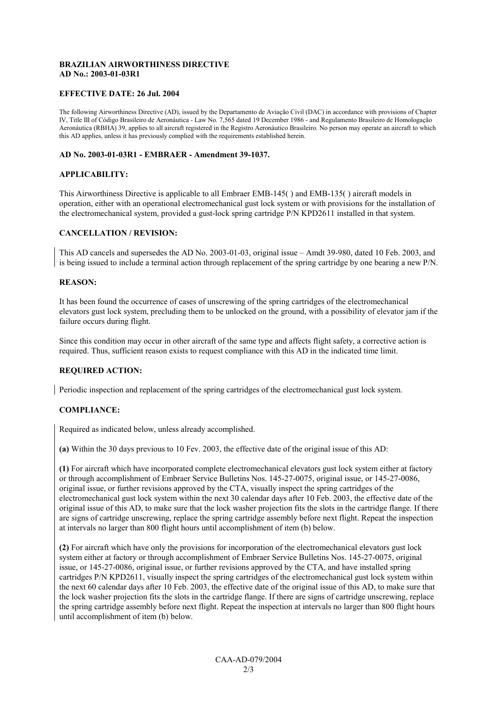### **BRAZILIAN AIRWORTHINESS DIRECTIVE AD No.: 2003-01-03R1**

#### **EFFECTIVE DATE: 26 Jul. 2004**

The following Airworthiness Directive (AD), issued by the Departamento de Aviação Civil (DAC) in accordance with provisions of Chapter IV, Title III of Código Brasileiro de Aeronáutica - Law No. 7,565 dated 19 December 1986 - and Regulamento Brasileiro de Homologação Aeronáutica (RBHA) 39, applies to all aircraft registered in the Registro Aeronáutico Brasileiro. No person may operate an aircraft to which this AD applies, unless it has previously complied with the requirements established herein.

#### **AD No. 2003-01-03R1 - EMBRAER - Amendment 39-1037.**

#### **APPLICABILITY:**

This Airworthiness Directive is applicable to all Embraer EMB-145( ) and EMB-135( ) aircraft models in operation, either with an operational electromechanical gust lock system or with provisions for the installation of the electromechanical system, provided a gust-lock spring cartridge P/N KPD2611 installed in that system.

#### **CANCELLATION / REVISION:**

This AD cancels and supersedes the AD No. 2003-01-03, original issue  $-$  Amdt 39-980, dated 10 Feb. 2003, and is being issued to include a terminal action through replacement of the spring cartridge by one bearing a new P/N.

#### **REASON:**

It has been found the occurrence of cases of unscrewing of the spring cartridges of the electromechanical elevators gust lock system, precluding them to be unlocked on the ground, with a possibility of elevator jam if the failure occurs during flight.

Since this condition may occur in other aircraft of the same type and affects flight safety, a corrective action is required. Thus, sufficient reason exists to request compliance with this AD in the indicated time limit.

#### **REQUIRED ACTION:**

Periodic inspection and replacement of the spring cartridges of the electromechanical gust lock system.

#### **COMPLIANCE:**

Required as indicated below, unless already accomplished.

**(a)** Within the 30 days previous to 10 Fev. 2003, the effective date of the original issue of this AD:

**(1)** For aircraft which have incorporated complete electromechanical elevators gust lock system either at factory or through accomplishment of Embraer Service Bulletins Nos. 145-27-0075, original issue, or 145-27-0086, original issue, or further revisions approved by the CTA, visually inspect the spring cartridges of the electromechanical gust lock system within the next 30 calendar days after 10 Feb. 2003, the effective date of the original issue of this AD, to make sure that the lock washer projection fits the slots in the cartridge flange. If there are signs of cartridge unscrewing, replace the spring cartridge assembly before next flight. Repeat the inspection at intervals no larger than 800 flight hours until accomplishment of item (b) below.

**(2)** For aircraft which have only the provisions for incorporation of the electromechanical elevators gust lock system either at factory or through accomplishment of Embraer Service Bulletins Nos. 145-27-0075, original issue, or 145-27-0086, original issue, or further revisions approved by the CTA, and have installed spring cartridges P/N KPD2611, visually inspect the spring cartridges of the electromechanical gust lock system within the next 60 calendar days after 10 Feb. 2003, the effective date of the original issue of this AD, to make sure that the lock washer projection fits the slots in the cartridge flange. If there are signs of cartridge unscrewing, replace the spring cartridge assembly before next flight. Repeat the inspection at intervals no larger than 800 flight hours until accomplishment of item (b) below.